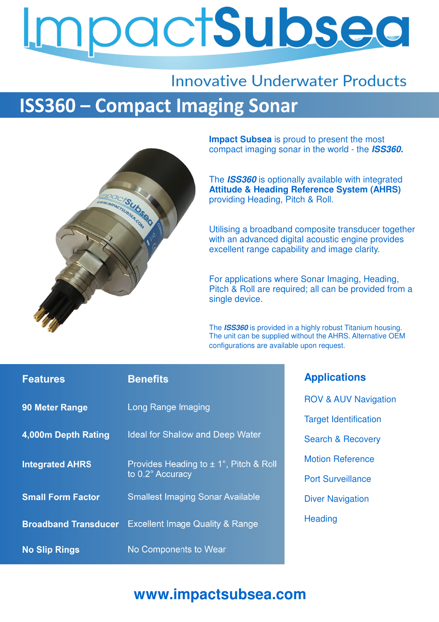# npactSubsea

## **Innovative Underwater Products ISS360 - Compact Imaging Sonar**



**Impact Subsea** is proud to present the most compact imaging sonar in the world - the **ISS360.**

The **ISS360** is optionally available with integrated **Attitude & Heading Reference System (AHRS)**  providing Heading, Pitch & Roll.

Utilising a broadband composite transducer together with an advanced digital acoustic engine provides excellent range capability and image clarity.

For applications where Sonar Imaging, Heading, Pitch & Roll are required; all can be provided from a single device.

The **ISS360** is provided in a highly robust Titanium housing. The unit can be supplied without the AHRS. Alternative OEM configurations are available upon request.

| <b>Features</b>             | <b>Benefits</b>                                            | <b>Applications</b>             |
|-----------------------------|------------------------------------------------------------|---------------------------------|
| <b>90 Meter Range</b>       | Long Range Imaging                                         | <b>ROV &amp; AUV Navigation</b> |
|                             |                                                            | <b>Target Identification</b>    |
| 4,000m Depth Rating         | <b>Ideal for Shallow and Deep Water</b>                    | <b>Search &amp; Recovery</b>    |
| <b>Integrated AHRS</b>      | Provides Heading to ± 1°, Pitch & Roll<br>to 0.2° Accuracy | <b>Motion Reference</b>         |
|                             |                                                            | <b>Port Surveillance</b>        |
| <b>Small Form Factor</b>    | <b>Smallest Imaging Sonar Available</b>                    | <b>Diver Navigation</b>         |
| <b>Broadband Transducer</b> | <b>Excellent Image Quality &amp; Range</b>                 | Heading                         |
| <b>No Slip Rings</b>        | No Components to Wear                                      |                                 |

### **www.impactsubsea.com**